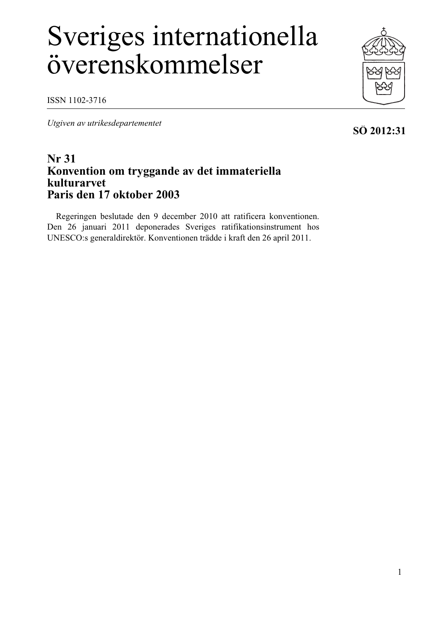# Sveriges internationella överenskommelser

ISSN 1102-3716

*Utgiven av utrikesdepartementet*

# **Nr 31 Konvention om tryggande av det immateriella kulturarvet Paris den 17 oktober 2003**

Regeringen beslutade den 9 december 2010 att ratificera konventionen. Den 26 januari 2011 deponerades Sveriges ratifikationsinstrument hos UNESCO:s generaldirektör. Konventionen trädde i kraft den 26 april 2011.





# **SÖ 2012:31**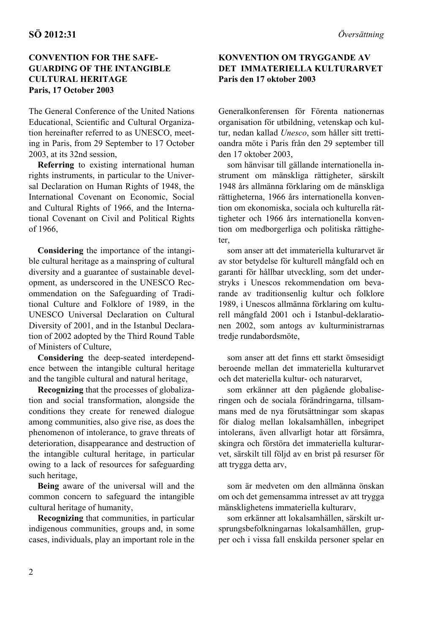# **CONVENTION FOR THE SAFE-GUARDING OF THE INTANGIBLE CULTURAL HERITAGE Paris, 17 October 2003**

The General Conference of the United Nations Educational, Scientific and Cultural Organization hereinafter referred to as UNESCO, meeting in Paris, from 29 September to 17 October 2003, at its 32nd session,

**Referring** to existing international human rights instruments, in particular to the Universal Declaration on Human Rights of 1948, the International Covenant on Economic, Social and Cultural Rights of 1966, and the International Covenant on Civil and Political Rights of 1966,

**Considering** the importance of the intangible cultural heritage as a mainspring of cultural diversity and a guarantee of sustainable development, as underscored in the UNESCO Recommendation on the Safeguarding of Traditional Culture and Folklore of 1989, in the UNESCO Universal Declaration on Cultural Diversity of 2001, and in the Istanbul Declaration of 2002 adopted by the Third Round Table of Ministers of Culture,

**Considering** the deep-seated interdependence between the intangible cultural heritage and the tangible cultural and natural heritage,

**Recognizing** that the processes of globalization and social transformation, alongside the conditions they create for renewed dialogue among communities, also give rise, as does the phenomenon of intolerance, to grave threats of deterioration, disappearance and destruction of the intangible cultural heritage, in particular owing to a lack of resources for safeguarding such heritage,

**Being** aware of the universal will and the common concern to safeguard the intangible cultural heritage of humanity,

**Recognizing** that communities, in particular indigenous communities, groups and, in some cases, individuals, play an important role in the

# **KONVENTION OM TRYGGANDE AV DET IMMATERIELLA KULTURARVET Paris den 17 oktober 2003**

Generalkonferensen för Förenta nationernas organisation för utbildning, vetenskap och kultur, nedan kallad *Unesco*, som håller sitt trettioandra möte i Paris från den 29 september till den 17 oktober 2003,

som hänvisar till gällande internationella instrument om mänskliga rättigheter, särskilt 1948 års allmänna förklaring om de mänskliga rättigheterna, 1966 års internationella konvention om ekonomiska, sociala och kulturella rättigheter och 1966 års internationella konvention om medborgerliga och politiska rättigheter,

som anser att det immateriella kulturarvet är av stor betydelse för kulturell mångfald och en garanti för hållbar utveckling, som det understryks i Unescos rekommendation om bevarande av traditionsenlig kultur och folklore 1989, i Unescos allmänna förklaring om kulturell mångfald 2001 och i Istanbul-deklarationen 2002, som antogs av kulturministrarnas tredje rundabordsmöte,

som anser att det finns ett starkt ömsesidigt beroende mellan det immateriella kulturarvet och det materiella kultur- och naturarvet,

som erkänner att den pågående globaliseringen och de sociala förändringarna, tillsammans med de nya förutsättningar som skapas för dialog mellan lokalsamhällen, inbegripet intolerans, även allvarligt hotar att försämra, skingra och förstöra det immateriella kulturarvet, särskilt till följd av en brist på resurser för att trygga detta arv,

som är medveten om den allmänna önskan om och det gemensamma intresset av att trygga mänsklighetens immateriella kulturarv,

som erkänner att lokalsamhällen, särskilt ursprungsbefolkningarnas lokalsamhällen, grupper och i vissa fall enskilda personer spelar en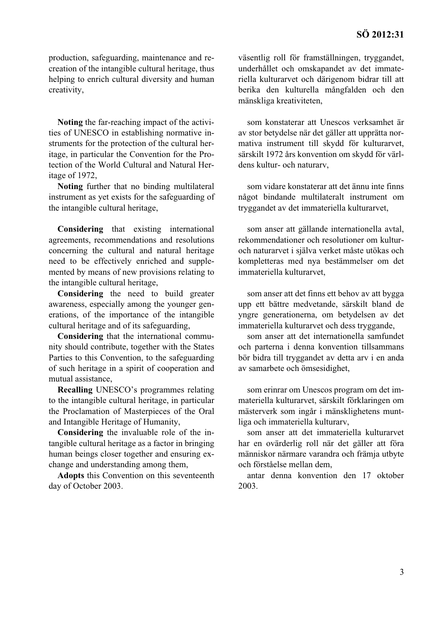production, safeguarding, maintenance and recreation of the intangible cultural heritage, thus helping to enrich cultural diversity and human creativity,

**Noting** the far-reaching impact of the activities of UNESCO in establishing normative instruments for the protection of the cultural heritage, in particular the Convention for the Protection of the World Cultural and Natural Heritage of 1972,

**Noting** further that no binding multilateral instrument as yet exists for the safeguarding of the intangible cultural heritage,

**Considering** that existing international agreements, recommendations and resolutions concerning the cultural and natural heritage need to be effectively enriched and supplemented by means of new provisions relating to the intangible cultural heritage,

**Considering** the need to build greater awareness, especially among the younger generations, of the importance of the intangible cultural heritage and of its safeguarding,

**Considering** that the international community should contribute, together with the States Parties to this Convention, to the safeguarding of such heritage in a spirit of cooperation and mutual assistance,

**Recalling** UNESCO's programmes relating to the intangible cultural heritage, in particular the Proclamation of Masterpieces of the Oral and Intangible Heritage of Humanity,

**Considering** the invaluable role of the intangible cultural heritage as a factor in bringing human beings closer together and ensuring exchange and understanding among them,

**Adopts** this Convention on this seventeenth day of October 2003.

väsentlig roll för framställningen, tryggandet, underhållet och omskapandet av det immateriella kulturarvet och därigenom bidrar till att berika den kulturella mångfalden och den mänskliga kreativiteten,

som konstaterar att Unescos verksamhet är av stor betydelse när det gäller att upprätta normativa instrument till skydd för kulturarvet, särskilt 1972 års konvention om skydd för världens kultur- och naturarv,

som vidare konstaterar att det ännu inte finns något bindande multilateralt instrument om tryggandet av det immateriella kulturarvet,

som anser att gällande internationella avtal, rekommendationer och resolutioner om kulturoch naturarvet i själva verket måste utökas och kompletteras med nya bestämmelser om det immateriella kulturarvet,

som anser att det finns ett behov av att bygga upp ett bättre medvetande, särskilt bland de yngre generationerna, om betydelsen av det immateriella kulturarvet och dess tryggande,

som anser att det internationella samfundet och parterna i denna konvention tillsammans bör bidra till tryggandet av detta arv i en anda av samarbete och ömsesidighet,

som erinrar om Unescos program om det immateriella kulturarvet, särskilt förklaringen om mästerverk som ingår i mänsklighetens muntliga och immateriella kulturarv,

som anser att det immateriella kulturarvet har en ovärderlig roll när det gäller att föra människor närmare varandra och främja utbyte och förståelse mellan dem,

antar denna konvention den 17 oktober 2003.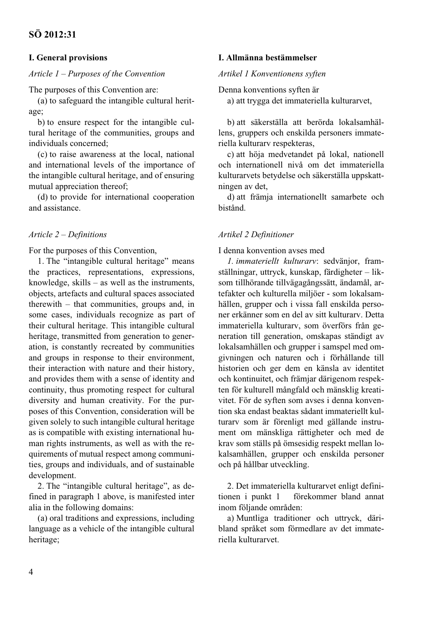# **I. General provisions**

#### *Article 1 – Purposes of the Convention*

The purposes of this Convention are:

(a) to safeguard the intangible cultural heritage;

b) to ensure respect for the intangible cultural heritage of the communities, groups and individuals concerned;

(c) to raise awareness at the local, national and international levels of the importance of the intangible cultural heritage, and of ensuring mutual appreciation thereof;

(d) to provide for international cooperation and assistance.

#### *Article 2 – Definitions*

For the purposes of this Convention,

1. The "intangible cultural heritage" means the practices, representations, expressions, knowledge, skills – as well as the instruments, objects, artefacts and cultural spaces associated therewith – that communities, groups and, in some cases, individuals recognize as part of their cultural heritage. This intangible cultural heritage, transmitted from generation to generation, is constantly recreated by communities and groups in response to their environment, their interaction with nature and their history, and provides them with a sense of identity and continuity, thus promoting respect for cultural diversity and human creativity. For the purposes of this Convention, consideration will be given solely to such intangible cultural heritage as is compatible with existing international human rights instruments, as well as with the requirements of mutual respect among communities, groups and individuals, and of sustainable development.

2. The "intangible cultural heritage", as defined in paragraph 1 above, is manifested inter alia in the following domains:

(a) oral traditions and expressions, including language as a vehicle of the intangible cultural heritage;

#### **I. Allmänna bestämmelser**

#### *Artikel 1 Konventionens syften*

Denna konventions syften är

a) att trygga det immateriella kulturarvet,

b) att säkerställa att berörda lokalsamhällens, gruppers och enskilda personers immateriella kulturarv respekteras,

c) att höja medvetandet på lokal, nationell och internationell nivå om det immateriella kulturarvets betydelse och säkerställa uppskattningen av det,

d) att främja internationellt samarbete och bistånd.

#### *Artikel 2 Definitioner*

#### I denna konvention avses med

*1. immateriellt kulturarv*: sedvänjor, framställningar, uttryck, kunskap, färdigheter – liksom tillhörande tillvägagångssätt, ändamål, artefakter och kulturella miljöer - som lokalsamhällen, grupper och i vissa fall enskilda personer erkänner som en del av sitt kulturarv. Detta immateriella kulturarv, som överförs från generation till generation, omskapas ständigt av lokalsamhällen och grupper i samspel med omgivningen och naturen och i förhållande till historien och ger dem en känsla av identitet och kontinuitet, och främjar därigenom respekten för kulturell mångfald och mänsklig kreativitet. För de syften som avses i denna konvention ska endast beaktas sådant immateriellt kulturarv som är förenligt med gällande instrument om mänskliga rättigheter och med de krav som ställs på ömsesidig respekt mellan lokalsamhällen, grupper och enskilda personer och på hållbar utveckling.

2. Det immateriella kulturarvet enligt definitionen i punkt 1 förekommer bland annat inom följande områden:

a) Muntliga traditioner och uttryck, däribland språket som förmedlare av det immateriella kulturarvet.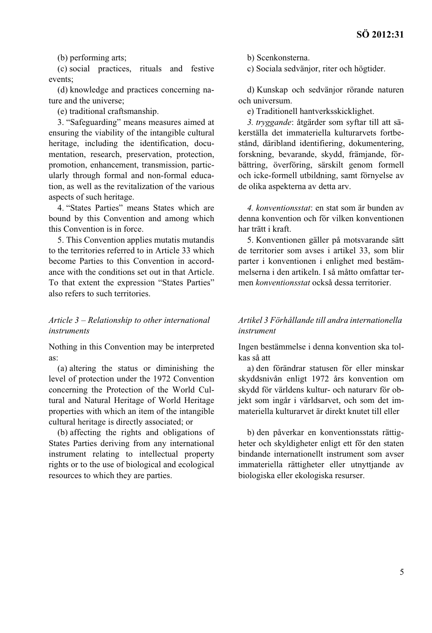(b) performing arts;

(c) social practices, rituals and festive events;

(d) knowledge and practices concerning nature and the universe;

(e) traditional craftsmanship.

3. "Safeguarding" means measures aimed at ensuring the viability of the intangible cultural heritage, including the identification, documentation, research, preservation, protection, promotion, enhancement, transmission, particularly through formal and non-formal education, as well as the revitalization of the various aspects of such heritage.

4. "States Parties" means States which are bound by this Convention and among which this Convention is in force.

5. This Convention applies mutatis mutandis to the territories referred to in Article 33 which become Parties to this Convention in accordance with the conditions set out in that Article. To that extent the expression "States Parties" also refers to such territories.

# *Article 3 – Relationship to other international instruments*

Nothing in this Convention may be interpreted as:

(a) altering the status or diminishing the level of protection under the 1972 Convention concerning the Protection of the World Cultural and Natural Heritage of World Heritage properties with which an item of the intangible cultural heritage is directly associated; or

(b) affecting the rights and obligations of States Parties deriving from any international instrument relating to intellectual property rights or to the use of biological and ecological resources to which they are parties.

b) Scenkonsterna.

c) Sociala sedvänjor, riter och högtider.

d) Kunskap och sedvänjor rörande naturen och universum.

e) Traditionell hantverksskicklighet.

*3. tryggande*: åtgärder som syftar till att säkerställa det immateriella kulturarvets fortbestånd, däribland identifiering, dokumentering, forskning, bevarande, skydd, främjande, förbättring, överföring, särskilt genom formell och icke-formell utbildning, samt förnyelse av de olika aspekterna av detta arv.

*4. konventionsstat*: en stat som är bunden av denna konvention och för vilken konventionen har trätt i kraft.

5. Konventionen gäller på motsvarande sätt de territorier som avses i artikel 33, som blir parter i konventionen i enlighet med bestämmelserna i den artikeln. I så måtto omfattar termen *konventionsstat* också dessa territorier.

#### *Artikel 3 Förhållande till andra internationella instrument*

Ingen bestämmelse i denna konvention ska tolkas så att

a) den förändrar statusen för eller minskar skyddsnivån enligt 1972 års konvention om skydd för världens kultur- och naturarv för objekt som ingår i världsarvet, och som det immateriella kulturarvet är direkt knutet till eller

b) den påverkar en konventionsstats rättigheter och skyldigheter enligt ett för den staten bindande internationellt instrument som avser immateriella rättigheter eller utnyttjande av biologiska eller ekologiska resurser.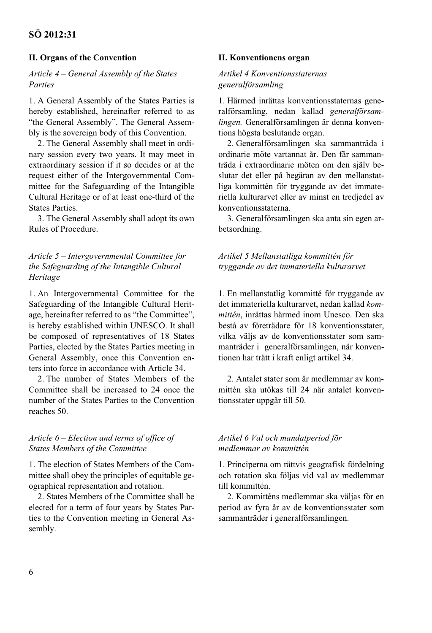# **II. Organs of the Convention**

#### *Article 4 – General Assembly of the States Parties*

1. A General Assembly of the States Parties is hereby established, hereinafter referred to as "the General Assembly". The General Assembly is the sovereign body of this Convention.

2. The General Assembly shall meet in ordinary session every two years. It may meet in extraordinary session if it so decides or at the request either of the Intergovernmental Committee for the Safeguarding of the Intangible Cultural Heritage or of at least one-third of the States Parties.

3. The General Assembly shall adopt its own Rules of Procedure.

# *Article 5 – Intergovernmental Committee for the Safeguarding of the Intangible Cultural Heritage*

1. An Intergovernmental Committee for the Safeguarding of the Intangible Cultural Heritage, hereinafter referred to as "the Committee", is hereby established within UNESCO. It shall be composed of representatives of 18 States Parties, elected by the States Parties meeting in General Assembly, once this Convention enters into force in accordance with Article 34.

2. The number of States Members of the Committee shall be increased to 24 once the number of the States Parties to the Convention reaches 50.

# *Article 6 – Election and terms of office of States Members of the Committee*

1. The election of States Members of the Committee shall obey the principles of equitable geographical representation and rotation.

2. States Members of the Committee shall be elected for a term of four years by States Parties to the Convention meeting in General Assembly.

#### **II. Konventionens organ**

## *Artikel 4 Konventionsstaternas generalförsamling*

1. Härmed inrättas konventionsstaternas generalförsamling, nedan kallad *generalförsamlingen.* Generalförsamlingen är denna konventions högsta beslutande organ.

2. Generalförsamlingen ska sammanträda i ordinarie möte vartannat år. Den får sammanträda i extraordinarie möten om den själv beslutar det eller på begäran av den mellanstatliga kommittén för tryggande av det immateriella kulturarvet eller av minst en tredjedel av konventionsstaterna.

3. Generalförsamlingen ska anta sin egen arbetsordning.

*Artikel 5 Mellanstatliga kommittén för tryggande av det immateriella kulturarvet*

1. En mellanstatlig kommitté för tryggande av det immateriella kulturarvet, nedan kallad *kommittén*, inrättas härmed inom Unesco. Den ska bestå av företrädare för 18 konventionsstater, vilka väljs av de konventionsstater som sammanträder i generalförsamlingen, när konventionen har trätt i kraft enligt artikel 34.

2. Antalet stater som är medlemmar av kommittén ska utökas till 24 när antalet konventionsstater uppgår till 50.

#### *Artikel 6 Val och mandatperiod för medlemmar av kommittén*

1. Principerna om rättvis geografisk fördelning och rotation ska följas vid val av medlemmar till kommittén.

2. Kommitténs medlemmar ska väljas för en period av fyra år av de konventionsstater som sammanträder i generalförsamlingen.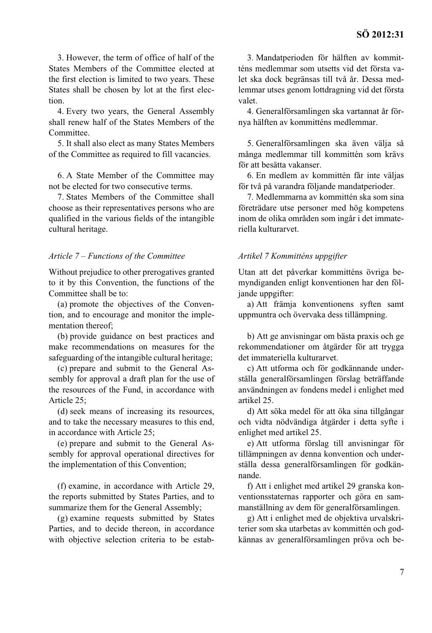3. However, the term of office of half of the States Members of the Committee elected at the first election is limited to two years. These States shall be chosen by lot at the first election.

4. Every two years, the General Assembly shall renew half of the States Members of the Committee.

5. It shall also elect as many States Members of the Committee as required to fill vacancies.

6. A State Member of the Committee may not be elected for two consecutive terms.

7. States Members of the Committee shall choose as their representatives persons who are qualified in the various fields of the intangible cultural heritage.

#### *Article 7 – Functions of the Committee*

Without prejudice to other prerogatives granted to it by this Convention, the functions of the Committee shall be to:

(a) promote the objectives of the Convention, and to encourage and monitor the implementation thereof;

(b) provide guidance on best practices and make recommendations on measures for the safeguarding of the intangible cultural heritage;

(c) prepare and submit to the General Assembly for approval a draft plan for the use of the resources of the Fund, in accordance with Article 25;

(d) seek means of increasing its resources, and to take the necessary measures to this end, in accordance with Article 25;

(e) prepare and submit to the General Assembly for approval operational directives for the implementation of this Convention;

(f) examine, in accordance with Article 29, the reports submitted by States Parties, and to summarize them for the General Assembly;

(g) examine requests submitted by States Parties, and to decide thereon, in accordance with objective selection criteria to be estab-

3. Mandatperioden för hälften av kommitténs medlemmar som utsetts vid det första valet ska dock begränsas till två år. Dessa medlemmar utses genom lottdragning vid det första valet.

4. Generalförsamlingen ska vartannat år förnya hälften av kommitténs medlemmar.

5. Generalförsamlingen ska även välja så många medlemmar till kommittén som krävs för att besätta vakanser.

6. En medlem av kommittén får inte väljas för två på varandra följande mandatperioder.

7. Medlemmarna av kommittén ska som sina företrädare utse personer med hög kompetens inom de olika områden som ingår i det immateriella kulturarvet.

#### *Artikel 7 Kommitténs uppgifter*

Utan att det påverkar kommitténs övriga bemyndiganden enligt konventionen har den följande uppgifter:

a) Att främja konventionens syften samt uppmuntra och övervaka dess tillämpning.

b) Att ge anvisningar om bästa praxis och ge rekommendationer om åtgärder för att trygga det immateriella kulturarvet.

c) Att utforma och för godkännande underställa generalförsamlingen förslag beträffande användningen av fondens medel i enlighet med artikel 25.

d) Att söka medel för att öka sina tillgångar och vidta nödvändiga åtgärder i detta syfte i enlighet med artikel 25.

e) Att utforma förslag till anvisningar för tillämpningen av denna konvention och underställa dessa generalförsamlingen för godkännande.

f) Att i enlighet med artikel 29 granska konventionsstaternas rapporter och göra en sammanställning av dem för generalförsamlingen.

g) Att i enlighet med de objektiva urvalskriterier som ska utarbetas av kommittén och godkännas av generalförsamlingen pröva och be-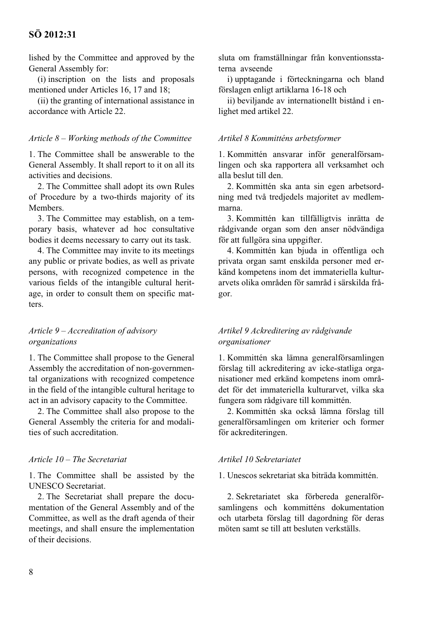lished by the Committee and approved by the General Assembly for:

(i) inscription on the lists and proposals mentioned under Articles 16, 17 and 18;

(ii) the granting of international assistance in accordance with Article 22.

#### *Article 8 – Working methods of the Committee*

1. The Committee shall be answerable to the General Assembly. It shall report to it on all its activities and decisions.

2. The Committee shall adopt its own Rules of Procedure by a two-thirds majority of its Members.

3. The Committee may establish, on a temporary basis, whatever ad hoc consultative bodies it deems necessary to carry out its task.

4. The Committee may invite to its meetings any public or private bodies, as well as private persons, with recognized competence in the various fields of the intangible cultural heritage, in order to consult them on specific matters.

#### *Article 9 – Accreditation of advisory organizations*

1. The Committee shall propose to the General Assembly the accreditation of non-governmental organizations with recognized competence in the field of the intangible cultural heritage to act in an advisory capacity to the Committee.

2. The Committee shall also propose to the General Assembly the criteria for and modalities of such accreditation.

#### *Article 10 – The Secretariat*

1. The Committee shall be assisted by the UNESCO Secretariat.

2. The Secretariat shall prepare the documentation of the General Assembly and of the Committee, as well as the draft agenda of their meetings, and shall ensure the implementation of their decisions.

sluta om framställningar från konventionsstaterna avseende

i) upptagande i förteckningarna och bland förslagen enligt artiklarna 16-18 och

ii) beviljande av internationellt bistånd i enlighet med artikel 22.

#### *Artikel 8 Kommitténs arbetsformer*

1. Kommittén ansvarar inför generalförsamlingen och ska rapportera all verksamhet och alla beslut till den.

2. Kommittén ska anta sin egen arbetsordning med två tredjedels majoritet av medlemmarna.

3. Kommittén kan tillfälligtvis inrätta de rådgivande organ som den anser nödvändiga för att fullgöra sina uppgifter.

4. Kommittén kan bjuda in offentliga och privata organ samt enskilda personer med erkänd kompetens inom det immateriella kulturarvets olika områden för samråd i särskilda frågor.

#### *Artikel 9 Ackreditering av rådgivande organisationer*

1. Kommittén ska lämna generalförsamlingen förslag till ackreditering av icke-statliga organisationer med erkänd kompetens inom området för det immateriella kulturarvet, vilka ska fungera som rådgivare till kommittén.

2. Kommittén ska också lämna förslag till generalförsamlingen om kriterier och former för ackrediteringen.

#### *Artikel 10 Sekretariatet*

1. Unescos sekretariat ska biträda kommittén.

2. Sekretariatet ska förbereda generalförsamlingens och kommitténs dokumentation och utarbeta förslag till dagordning för deras möten samt se till att besluten verkställs.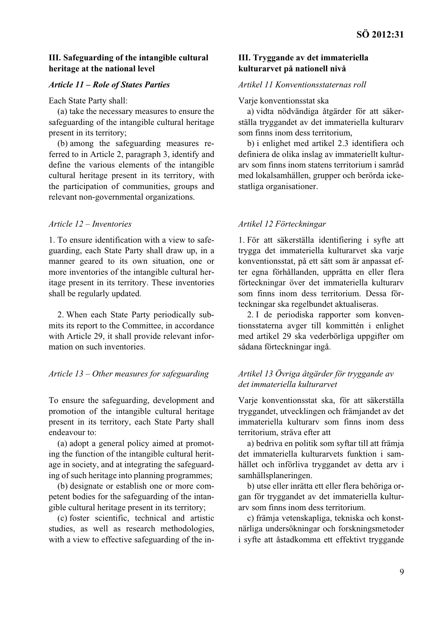## **III. Safeguarding of the intangible cultural heritage at the national level**

#### *Article 11 – Role of States Parties*

Each State Party shall:

(a) take the necessary measures to ensure the safeguarding of the intangible cultural heritage present in its territory;

(b) among the safeguarding measures referred to in Article 2, paragraph 3, identify and define the various elements of the intangible cultural heritage present in its territory, with the participation of communities, groups and relevant non-governmental organizations.

# *Article 12 – Inventories*

1. To ensure identification with a view to safeguarding, each State Party shall draw up, in a manner geared to its own situation, one or more inventories of the intangible cultural heritage present in its territory. These inventories shall be regularly updated.

2. When each State Party periodically submits its report to the Committee, in accordance with Article 29, it shall provide relevant information on such inventories.

#### *Article 13 – Other measures for safeguarding*

To ensure the safeguarding, development and promotion of the intangible cultural heritage present in its territory, each State Party shall endeavour to:

(a) adopt a general policy aimed at promoting the function of the intangible cultural heritage in society, and at integrating the safeguarding of such heritage into planning programmes;

(b) designate or establish one or more competent bodies for the safeguarding of the intangible cultural heritage present in its territory;

(c) foster scientific, technical and artistic studies, as well as research methodologies, with a view to effective safeguarding of the in-

#### **III. Tryggande av det immateriella kulturarvet på nationell nivå**

#### *Artikel 11 Konventionsstaternas roll*

#### Varje konventionsstat ska

a) vidta nödvändiga åtgärder för att säkerställa tryggandet av det immateriella kulturarv som finns inom dess territorium,

b) i enlighet med artikel 2.3 identifiera och definiera de olika inslag av immateriellt kulturarv som finns inom statens territorium i samråd med lokalsamhällen, grupper och berörda ickestatliga organisationer.

#### *Artikel 12 Förteckningar*

1. För att säkerställa identifiering i syfte att trygga det immateriella kulturarvet ska varje konventionsstat, på ett sätt som är anpassat efter egna förhållanden, upprätta en eller flera förteckningar över det immateriella kulturarv som finns inom dess territorium. Dessa förteckningar ska regelbundet aktualiseras.

2. I de periodiska rapporter som konventionsstaterna avger till kommittén i enlighet med artikel 29 ska vederbörliga uppgifter om sådana förteckningar ingå.

# *Artikel 13 Övriga åtgärder för tryggande av det immateriella kulturarvet*

Varje konventionsstat ska, för att säkerställa tryggandet, utvecklingen och främjandet av det immateriella kulturarv som finns inom dess territorium, sträva efter att

a) bedriva en politik som syftar till att främja det immateriella kulturarvets funktion i samhället och införliva tryggandet av detta arv i samhällsplaneringen.

b) utse eller inrätta ett eller flera behöriga organ för tryggandet av det immateriella kulturarv som finns inom dess territorium.

c) främja vetenskapliga, tekniska och konstnärliga undersökningar och forskningsmetoder i syfte att åstadkomma ett effektivt tryggande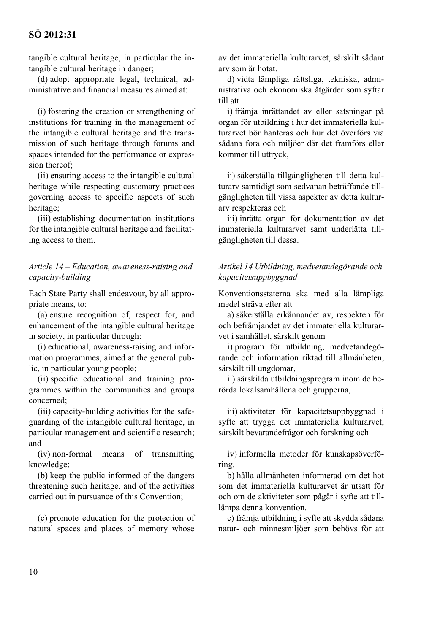tangible cultural heritage, in particular the intangible cultural heritage in danger;

(d) adopt appropriate legal, technical, administrative and financial measures aimed at:

(i) fostering the creation or strengthening of institutions for training in the management of the intangible cultural heritage and the transmission of such heritage through forums and spaces intended for the performance or expression thereof;

(ii) ensuring access to the intangible cultural heritage while respecting customary practices governing access to specific aspects of such heritage;

(iii) establishing documentation institutions for the intangible cultural heritage and facilitating access to them.

# *Article 14 – Education, awareness-raising and capacity-building*

Each State Party shall endeavour, by all appropriate means, to:

(a) ensure recognition of, respect for, and enhancement of the intangible cultural heritage in society, in particular through:

(i) educational, awareness-raising and information programmes, aimed at the general public, in particular young people;

(ii) specific educational and training programmes within the communities and groups concerned;

(iii) capacity-building activities for the safeguarding of the intangible cultural heritage, in particular management and scientific research; and

(iv) non-formal means of transmitting knowledge;

(b) keep the public informed of the dangers threatening such heritage, and of the activities carried out in pursuance of this Convention;

(c) promote education for the protection of natural spaces and places of memory whose

av det immateriella kulturarvet, särskilt sådant arv som är hotat.

d) vidta lämpliga rättsliga, tekniska, administrativa och ekonomiska åtgärder som syftar till att

i) främja inrättandet av eller satsningar på organ för utbildning i hur det immateriella kulturarvet bör hanteras och hur det överförs via sådana fora och miljöer där det framförs eller kommer till uttryck,

ii) säkerställa tillgängligheten till detta kulturarv samtidigt som sedvanan beträffande tillgängligheten till vissa aspekter av detta kulturarv respekteras och

iii) inrätta organ för dokumentation av det immateriella kulturarvet samt underlätta tillgängligheten till dessa.

# *Artikel 14 Utbildning, medvetandegörande och kapacitetsuppbyggnad*

Konventionsstaterna ska med alla lämpliga medel sträva efter att

a) säkerställa erkännandet av, respekten för och befrämjandet av det immateriella kulturarvet i samhället, särskilt genom

i) program för utbildning, medvetandegörande och information riktad till allmänheten, särskilt till ungdomar,

ii) särskilda utbildningsprogram inom de berörda lokalsamhällena och grupperna,

iii) aktiviteter för kapacitetsuppbyggnad i syfte att trygga det immateriella kulturarvet, särskilt bevarandefrågor och forskning och

iv) informella metoder för kunskapsöverföring.

b) hålla allmänheten informerad om det hot som det immateriella kulturarvet är utsatt för och om de aktiviteter som pågår i syfte att tilllämpa denna konvention.

c) främja utbildning i syfte att skydda sådana natur- och minnesmiljöer som behövs för att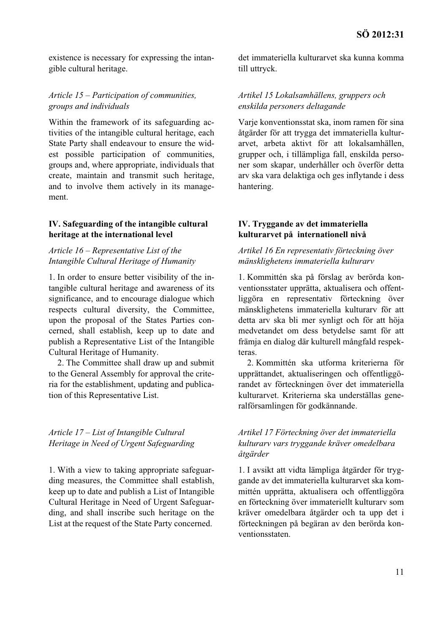existence is necessary for expressing the intangible cultural heritage.

## *Article 15 – Participation of communities, groups and individuals*

Within the framework of its safeguarding activities of the intangible cultural heritage, each State Party shall endeavour to ensure the widest possible participation of communities, groups and, where appropriate, individuals that create, maintain and transmit such heritage, and to involve them actively in its management.

#### **IV. Safeguarding of the intangible cultural heritage at the international level**

# *Article 16 – Representative List of the Intangible Cultural Heritage of Humanity*

1. In order to ensure better visibility of the intangible cultural heritage and awareness of its significance, and to encourage dialogue which respects cultural diversity, the Committee, upon the proposal of the States Parties concerned, shall establish, keep up to date and publish a Representative List of the Intangible Cultural Heritage of Humanity.

2. The Committee shall draw up and submit to the General Assembly for approval the criteria for the establishment, updating and publication of this Representative List.

# *Article 17 – List of Intangible Cultural Heritage in Need of Urgent Safeguarding*

1. With a view to taking appropriate safeguarding measures, the Committee shall establish, keep up to date and publish a List of Intangible Cultural Heritage in Need of Urgent Safeguarding, and shall inscribe such heritage on the List at the request of the State Party concerned.

det immateriella kulturarvet ska kunna komma till uttryck.

## *Artikel 15 Lokalsamhällens, gruppers och enskilda personers deltagande*

Varje konventionsstat ska, inom ramen för sina åtgärder för att trygga det immateriella kulturarvet, arbeta aktivt för att lokalsamhällen, grupper och, i tillämpliga fall, enskilda personer som skapar, underhåller och överför detta arv ska vara delaktiga och ges inflytande i dess hantering.

#### **IV. Tryggande av det immateriella kulturarvet på internationell nivå**

# *Artikel 16 En representativ förteckning över mänsklighetens immateriella kulturarv*

1. Kommittén ska på förslag av berörda konventionsstater upprätta, aktualisera och offentliggöra en representativ förteckning över mänsklighetens immateriella kulturarv för att detta arv ska bli mer synligt och för att höja medvetandet om dess betydelse samt för att främja en dialog där kulturell mångfald respekteras.

2. Kommittén ska utforma kriterierna för upprättandet, aktualiseringen och offentliggörandet av förteckningen över det immateriella kulturarvet. Kriterierna ska underställas generalförsamlingen för godkännande.

# *Artikel 17 Förteckning över det immateriella kulturarv vars tryggande kräver omedelbara åtgärder*

1. I avsikt att vidta lämpliga åtgärder för tryggande av det immateriella kulturarvet ska kommittén upprätta, aktualisera och offentliggöra en förteckning över immateriellt kulturarv som kräver omedelbara åtgärder och ta upp det i förteckningen på begäran av den berörda konventionsstaten.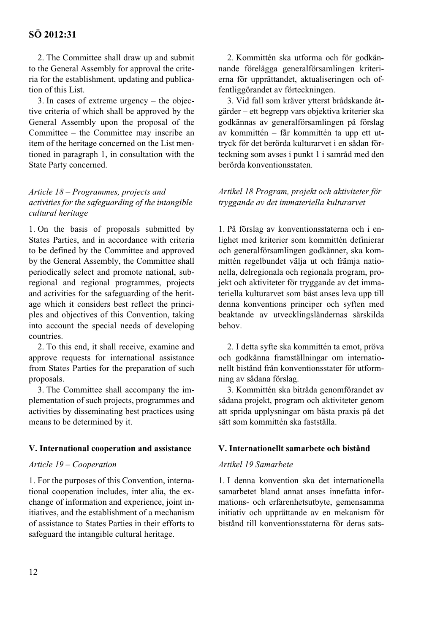2. The Committee shall draw up and submit to the General Assembly for approval the criteria for the establishment, updating and publication of this List.

3. In cases of extreme urgency – the objective criteria of which shall be approved by the General Assembly upon the proposal of the Committee – the Committee may inscribe an item of the heritage concerned on the List mentioned in paragraph 1, in consultation with the State Party concerned.

# *Article 18 – Programmes, projects and activities for the safeguarding of the intangible cultural heritage*

1. On the basis of proposals submitted by States Parties, and in accordance with criteria to be defined by the Committee and approved by the General Assembly, the Committee shall periodically select and promote national, subregional and regional programmes, projects and activities for the safeguarding of the heritage which it considers best reflect the principles and objectives of this Convention, taking into account the special needs of developing countries.

2. To this end, it shall receive, examine and approve requests for international assistance from States Parties for the preparation of such proposals.

3. The Committee shall accompany the implementation of such projects, programmes and activities by disseminating best practices using means to be determined by it.

#### **V. International cooperation and assistance**

#### *Article 19 – Cooperation*

1. For the purposes of this Convention, international cooperation includes, inter alia, the exchange of information and experience, joint initiatives, and the establishment of a mechanism of assistance to States Parties in their efforts to safeguard the intangible cultural heritage.

2. Kommittén ska utforma och för godkännande förelägga generalförsamlingen kriterierna för upprättandet, aktualiseringen och offentliggörandet av förteckningen.

3. Vid fall som kräver ytterst brådskande åtgärder – ett begrepp vars objektiva kriterier ska godkännas av generalförsamlingen på förslag av kommittén – får kommittén ta upp ett uttryck för det berörda kulturarvet i en sådan förteckning som avses i punkt 1 i samråd med den berörda konventionsstaten.

# *Artikel 18 Program, projekt och aktiviteter för tryggande av det immateriella kulturarvet*

1. På förslag av konventionsstaterna och i enlighet med kriterier som kommittén definierar och generalförsamlingen godkänner, ska kommittén regelbundet välja ut och främja nationella, delregionala och regionala program, projekt och aktiviteter för tryggande av det immateriella kulturarvet som bäst anses leva upp till denna konventions principer och syften med beaktande av utvecklingsländernas särskilda behov.

2. I detta syfte ska kommittén ta emot, pröva och godkänna framställningar om internationellt bistånd från konventionsstater för utformning av sådana förslag.

3. Kommittén ska biträda genomförandet av sådana projekt, program och aktiviteter genom att sprida upplysningar om bästa praxis på det sätt som kommittén ska fastställa.

#### **V. Internationellt samarbete och bistånd**

#### *Artikel 19 Samarbete*

1. I denna konvention ska det internationella samarbetet bland annat anses innefatta informations- och erfarenhetsutbyte, gemensamma initiativ och upprättande av en mekanism för bistånd till konventionsstaterna för deras sats-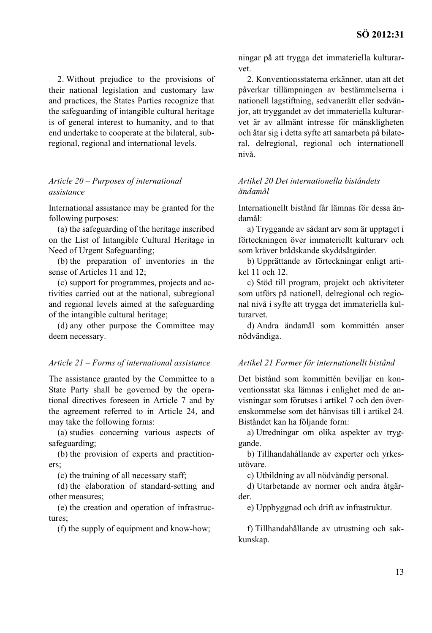2. Without prejudice to the provisions of their national legislation and customary law and practices, the States Parties recognize that the safeguarding of intangible cultural heritage is of general interest to humanity, and to that end undertake to cooperate at the bilateral, subregional, regional and international levels.

# *Article 20 – Purposes of international assistance*

International assistance may be granted for the following purposes:

(a) the safeguarding of the heritage inscribed on the List of Intangible Cultural Heritage in Need of Urgent Safeguarding;

(b) the preparation of inventories in the sense of Articles 11 and 12;

(c) support for programmes, projects and activities carried out at the national, subregional and regional levels aimed at the safeguarding of the intangible cultural heritage;

(d) any other purpose the Committee may deem necessary.

#### *Article 21 – Forms of international assistance*

The assistance granted by the Committee to a State Party shall be governed by the operational directives foreseen in Article 7 and by the agreement referred to in Article 24, and may take the following forms:

(a) studies concerning various aspects of safeguarding;

(b) the provision of experts and practitioners;

(c) the training of all necessary staff;

(d) the elaboration of standard-setting and other measures;

(e) the creation and operation of infrastructures;

(f) the supply of equipment and know-how;

ningar på att trygga det immateriella kulturarvet.

2. Konventionsstaterna erkänner, utan att det påverkar tillämpningen av bestämmelserna i nationell lagstiftning, sedvanerätt eller sedvänjor, att tryggandet av det immateriella kulturarvet är av allmänt intresse för mänskligheten och åtar sig i detta syfte att samarbeta på bilateral, delregional, regional och internationell nivå.

#### *Artikel 20 Det internationella biståndets ändamål*

Internationellt bistånd får lämnas för dessa ändamål:

a) Tryggande av sådant arv som är upptaget i förteckningen över immateriellt kulturarv och som kräver brådskande skyddsåtgärder.

b) Upprättande av förteckningar enligt artikel 11 och 12.

c) Stöd till program, projekt och aktiviteter som utförs på nationell, delregional och regional nivå i syfte att trygga det immateriella kulturarvet.

d) Andra ändamål som kommittén anser nödvändiga.

#### *Artikel 21 Former för internationellt bistånd*

Det bistånd som kommittén beviljar en konventionsstat ska lämnas i enlighet med de anvisningar som förutses i artikel 7 och den överenskommelse som det hänvisas till i artikel 24. Biståndet kan ha följande form:

a) Utredningar om olika aspekter av tryggande.

b) Tillhandahållande av experter och yrkesutövare.

c) Utbildning av all nödvändig personal.

d) Utarbetande av normer och andra åtgärder.

e) Uppbyggnad och drift av infrastruktur.

f) Tillhandahållande av utrustning och sakkunskap.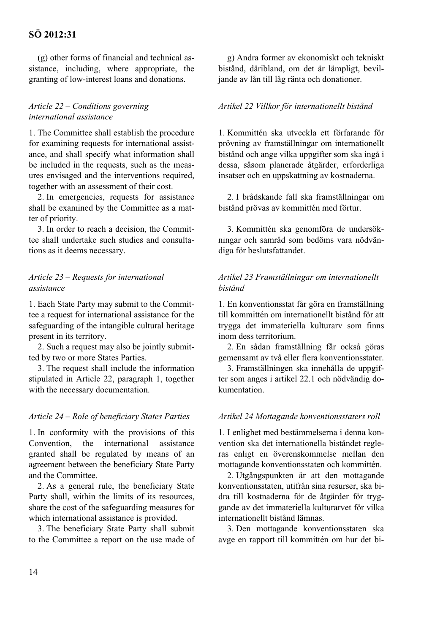(g) other forms of financial and technical assistance, including, where appropriate, the granting of low-interest loans and donations.

## *Article 22 – Conditions governing international assistance*

1. The Committee shall establish the procedure for examining requests for international assistance, and shall specify what information shall be included in the requests, such as the measures envisaged and the interventions required, together with an assessment of their cost.

2. In emergencies, requests for assistance shall be examined by the Committee as a matter of priority.

3. In order to reach a decision, the Committee shall undertake such studies and consultations as it deems necessary.

#### *Article 23 – Requests for international assistance*

1. Each State Party may submit to the Committee a request for international assistance for the safeguarding of the intangible cultural heritage present in its territory.

2. Such a request may also be jointly submitted by two or more States Parties.

3. The request shall include the information stipulated in Article 22, paragraph 1, together with the necessary documentation.

#### *Article 24 – Role of beneficiary States Parties*

1. In conformity with the provisions of this Convention, the international assistance granted shall be regulated by means of an agreement between the beneficiary State Party and the Committee.

2. As a general rule, the beneficiary State Party shall, within the limits of its resources, share the cost of the safeguarding measures for which international assistance is provided.

3. The beneficiary State Party shall submit to the Committee a report on the use made of

g) Andra former av ekonomiskt och tekniskt bistånd, däribland, om det är lämpligt, beviljande av lån till låg ränta och donationer.

#### *Artikel 22 Villkor för internationellt bistånd*

1. Kommittén ska utveckla ett förfarande för prövning av framställningar om internationellt bistånd och ange vilka uppgifter som ska ingå i dessa, såsom planerade åtgärder, erforderliga insatser och en uppskattning av kostnaderna.

2. I brådskande fall ska framställningar om bistånd prövas av kommittén med förtur.

3. Kommittén ska genomföra de undersökningar och samråd som bedöms vara nödvändiga för beslutsfattandet.

#### *Artikel 23 Framställningar om internationellt bistånd*

1. En konventionsstat får göra en framställning till kommittén om internationellt bistånd för att trygga det immateriella kulturarv som finns inom dess territorium.

2. En sådan framställning får också göras gemensamt av två eller flera konventionsstater.

3. Framställningen ska innehålla de uppgifter som anges i artikel 22.1 och nödvändig dokumentation.

#### *Artikel 24 Mottagande konventionsstaters roll*

1. I enlighet med bestämmelserna i denna konvention ska det internationella biståndet regleras enligt en överenskommelse mellan den mottagande konventionsstaten och kommittén.

2. Utgångspunkten är att den mottagande konventionsstaten, utifrån sina resurser, ska bidra till kostnaderna för de åtgärder för tryggande av det immateriella kulturarvet för vilka internationellt bistånd lämnas.

3. Den mottagande konventionsstaten ska avge en rapport till kommittén om hur det bi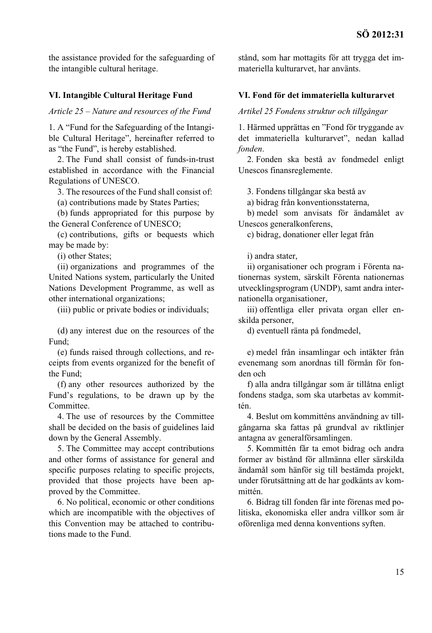the assistance provided for the safeguarding of the intangible cultural heritage.

#### **VI. Intangible Cultural Heritage Fund**

*Article 25 – Nature and resources of the Fund* 

1. A "Fund for the Safeguarding of the Intangible Cultural Heritage", hereinafter referred to as "the Fund", is hereby established.

2. The Fund shall consist of funds-in-trust established in accordance with the Financial Regulations of UNESCO.

3. The resources of the Fund shall consist of:

(a) contributions made by States Parties;

(b) funds appropriated for this purpose by the General Conference of UNESCO;

(c) contributions, gifts or bequests which may be made by:

(i) other States;

(ii) organizations and programmes of the United Nations system, particularly the United Nations Development Programme, as well as other international organizations;

(iii) public or private bodies or individuals;

(d) any interest due on the resources of the Fund;

(e) funds raised through collections, and receipts from events organized for the benefit of the Fund;

(f) any other resources authorized by the Fund's regulations, to be drawn up by the Committee.

4. The use of resources by the Committee shall be decided on the basis of guidelines laid down by the General Assembly.

5. The Committee may accept contributions and other forms of assistance for general and specific purposes relating to specific projects, provided that those projects have been approved by the Committee.

6. No political, economic or other conditions which are incompatible with the objectives of this Convention may be attached to contributions made to the Fund.

stånd, som har mottagits för att trygga det immateriella kulturarvet, har använts.

#### **VI. Fond för det immateriella kulturarvet**

*Artikel 25 Fondens struktur och tillgångar*

1. Härmed upprättas en "Fond för tryggande av det immateriella kulturarvet", nedan kallad *fonden*.

2. Fonden ska bestå av fondmedel enligt Unescos finansreglemente.

3. Fondens tillgångar ska bestå av

a) bidrag från konventionsstaterna,

b) medel som anvisats för ändamålet av Unescos generalkonferens,

c) bidrag, donationer eller legat från

i) andra stater,

ii) organisationer och program i Förenta nationernas system, särskilt Förenta nationernas utvecklingsprogram (UNDP), samt andra internationella organisationer,

iii) offentliga eller privata organ eller enskilda personer,

d) eventuell ränta på fondmedel,

e) medel från insamlingar och intäkter från evenemang som anordnas till förmån för fonden och

f) alla andra tillgångar som är tillåtna enligt fondens stadga, som ska utarbetas av kommittén.

4. Beslut om kommitténs användning av tillgångarna ska fattas på grundval av riktlinjer antagna av generalförsamlingen.

5. Kommittén får ta emot bidrag och andra former av bistånd för allmänna eller särskilda ändamål som hänför sig till bestämda projekt, under förutsättning att de har godkänts av kommittén.

6. Bidrag till fonden får inte förenas med politiska, ekonomiska eller andra villkor som är oförenliga med denna konventions syften.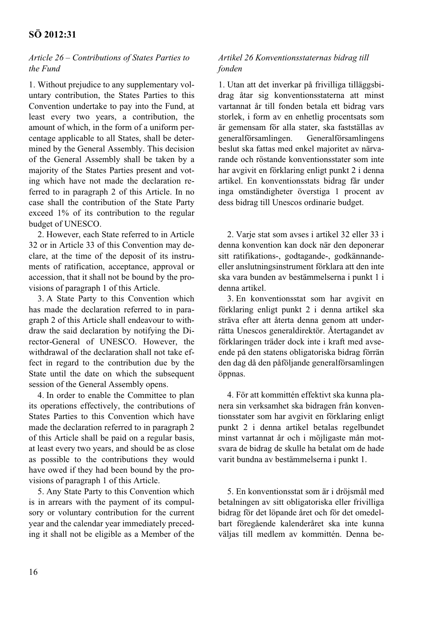#### *Article 26 – Contributions of States Parties to the Fund*

1. Without prejudice to any supplementary voluntary contribution, the States Parties to this Convention undertake to pay into the Fund, at least every two years, a contribution, the amount of which, in the form of a uniform percentage applicable to all States, shall be determined by the General Assembly. This decision of the General Assembly shall be taken by a majority of the States Parties present and voting which have not made the declaration referred to in paragraph 2 of this Article. In no case shall the contribution of the State Party exceed 1% of its contribution to the regular budget of UNESCO.

2. However, each State referred to in Article 32 or in Article 33 of this Convention may declare, at the time of the deposit of its instruments of ratification, acceptance, approval or accession, that it shall not be bound by the provisions of paragraph 1 of this Article.

3. A State Party to this Convention which has made the declaration referred to in paragraph 2 of this Article shall endeavour to withdraw the said declaration by notifying the Director-General of UNESCO. However, the withdrawal of the declaration shall not take effect in regard to the contribution due by the State until the date on which the subsequent session of the General Assembly opens.

4. In order to enable the Committee to plan its operations effectively, the contributions of States Parties to this Convention which have made the declaration referred to in paragraph 2 of this Article shall be paid on a regular basis, at least every two years, and should be as close as possible to the contributions they would have owed if they had been bound by the provisions of paragraph 1 of this Article.

5. Any State Party to this Convention which is in arrears with the payment of its compulsory or voluntary contribution for the current year and the calendar year immediately preceding it shall not be eligible as a Member of the

#### *Artikel 26 Konventionsstaternas bidrag till fonden*

1. Utan att det inverkar på frivilliga tilläggsbidrag åtar sig konventionsstaterna att minst vartannat år till fonden betala ett bidrag vars storlek, i form av en enhetlig procentsats som är gemensam för alla stater, ska fastställas av generalförsamlingen. Generalförsamlingens beslut ska fattas med enkel majoritet av närvarande och röstande konventionsstater som inte har avgivit en förklaring enligt punkt 2 i denna artikel. En konventionsstats bidrag får under inga omständigheter överstiga 1 procent av dess bidrag till Unescos ordinarie budget.

2. Varje stat som avses i artikel 32 eller 33 i denna konvention kan dock när den deponerar sitt ratifikations-, godtagande-, godkännandeeller anslutningsinstrument förklara att den inte ska vara bunden av bestämmelserna i punkt 1 i denna artikel.

3. En konventionsstat som har avgivit en förklaring enligt punkt 2 i denna artikel ska sträva efter att återta denna genom att underrätta Unescos generaldirektör. Återtagandet av förklaringen träder dock inte i kraft med avseende på den statens obligatoriska bidrag förrän den dag då den påföljande generalförsamlingen öppnas.

4. För att kommittén effektivt ska kunna planera sin verksamhet ska bidragen från konventionsstater som har avgivit en förklaring enligt punkt 2 i denna artikel betalas regelbundet minst vartannat år och i möjligaste mån motsvara de bidrag de skulle ha betalat om de hade varit bundna av bestämmelserna i punkt 1.

5. En konventionsstat som är i dröjsmål med betalningen av sitt obligatoriska eller frivilliga bidrag för det löpande året och för det omedelbart föregående kalenderåret ska inte kunna väljas till medlem av kommittén. Denna be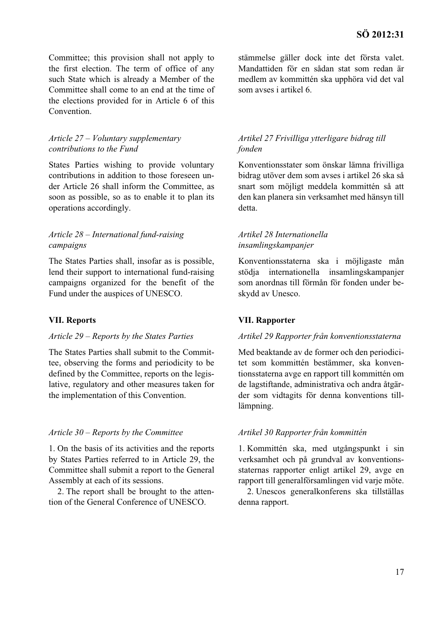Committee; this provision shall not apply to the first election. The term of office of any such State which is already a Member of the Committee shall come to an end at the time of the elections provided for in Article 6 of this Convention.

#### *Article 27 – Voluntary supplementary contributions to the Fund*

States Parties wishing to provide voluntary contributions in addition to those foreseen under Article 26 shall inform the Committee, as soon as possible, so as to enable it to plan its operations accordingly.

# *Article 28 – International fund-raising campaigns*

The States Parties shall, insofar as is possible, lend their support to international fund-raising campaigns organized for the benefit of the Fund under the auspices of UNESCO.

#### **VII. Reports**

#### *Article 29 – Reports by the States Parties*

The States Parties shall submit to the Committee, observing the forms and periodicity to be defined by the Committee, reports on the legislative, regulatory and other measures taken for the implementation of this Convention.

#### *Article 30 – Reports by the Committee*

1. On the basis of its activities and the reports by States Parties referred to in Article 29, the Committee shall submit a report to the General Assembly at each of its sessions.

2. The report shall be brought to the attention of the General Conference of UNESCO.

stämmelse gäller dock inte det första valet. Mandattiden för en sådan stat som redan är medlem av kommittén ska upphöra vid det val som avses i artikel 6.

#### *Artikel 27 Frivilliga ytterligare bidrag till fonden*

Konventionsstater som önskar lämna frivilliga bidrag utöver dem som avses i artikel 26 ska så snart som möjligt meddela kommittén så att den kan planera sin verksamhet med hänsyn till detta.

## *Artikel 28 Internationella insamlingskampanjer*

Konventionsstaterna ska i möjligaste mån stödja internationella insamlingskampanjer som anordnas till förmån för fonden under beskydd av Unesco.

#### **VII. Rapporter**

#### *Artikel 29 Rapporter från konventionsstaterna*

Med beaktande av de former och den periodicitet som kommittén bestämmer, ska konventionsstaterna avge en rapport till kommittén om de lagstiftande, administrativa och andra åtgärder som vidtagits för denna konventions tilllämpning.

#### *Artikel 30 Rapporter från kommittén*

1. Kommittén ska, med utgångspunkt i sin verksamhet och på grundval av konventionsstaternas rapporter enligt artikel 29, avge en rapport till generalförsamlingen vid varje möte.

2. Unescos generalkonferens ska tillställas denna rapport.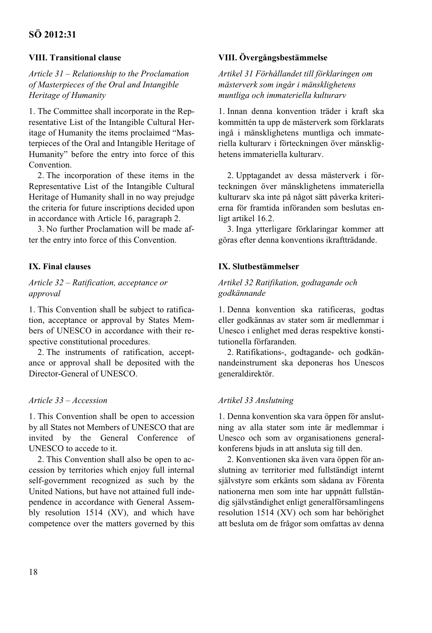# **VIII. Transitional clause**

*Article 31 – Relationship to the Proclamation of Masterpieces of the Oral and Intangible Heritage of Humanity* 

1. The Committee shall incorporate in the Representative List of the Intangible Cultural Heritage of Humanity the items proclaimed "Masterpieces of the Oral and Intangible Heritage of Humanity" before the entry into force of this Convention.

2. The incorporation of these items in the Representative List of the Intangible Cultural Heritage of Humanity shall in no way prejudge the criteria for future inscriptions decided upon in accordance with Article 16, paragraph 2.

3. No further Proclamation will be made after the entry into force of this Convention.

# **IX. Final clauses**

## *Article 32 – Ratification, acceptance or approval*

1. This Convention shall be subject to ratification, acceptance or approval by States Members of UNESCO in accordance with their respective constitutional procedures.

2. The instruments of ratification, acceptance or approval shall be deposited with the Director-General of UNESCO.

# *Article 33 – Accession*

1. This Convention shall be open to accession by all States not Members of UNESCO that are invited by the General Conference of UNESCO to accede to it.

2. This Convention shall also be open to accession by territories which enjoy full internal self-government recognized as such by the United Nations, but have not attained full independence in accordance with General Assembly resolution 1514 (XV), and which have competence over the matters governed by this

# **VIII. Övergångsbestämmelse**

*Artikel 31 Förhållandet till förklaringen om mästerverk som ingår i mänsklighetens muntliga och immateriella kulturarv*

1. Innan denna konvention träder i kraft ska kommittén ta upp de mästerverk som förklarats ingå i mänsklighetens muntliga och immateriella kulturarv i förteckningen över mänsklighetens immateriella kulturarv.

2. Upptagandet av dessa mästerverk i förteckningen över mänsklighetens immateriella kulturarv ska inte på något sätt påverka kriterierna för framtida införanden som beslutas enligt artikel 16.2.

3. Inga ytterligare förklaringar kommer att göras efter denna konventions ikraftträdande.

# **IX. Slutbestämmelser**

#### *Artikel 32 Ratifikation, godtagande och godkännande*

1. Denna konvention ska ratificeras, godtas eller godkännas av stater som är medlemmar i Unesco i enlighet med deras respektive konstitutionella förfaranden.

2. Ratifikations-, godtagande- och godkännandeinstrument ska deponeras hos Unescos generaldirektör.

# *Artikel 33 Anslutning*

1. Denna konvention ska vara öppen för anslutning av alla stater som inte är medlemmar i Unesco och som av organisationens generalkonferens bjuds in att ansluta sig till den.

2. Konventionen ska även vara öppen för anslutning av territorier med fullständigt internt självstyre som erkänts som sådana av Förenta nationerna men som inte har uppnått fullständig självständighet enligt generalförsamlingens resolution 1514 (XV) och som har behörighet att besluta om de frågor som omfattas av denna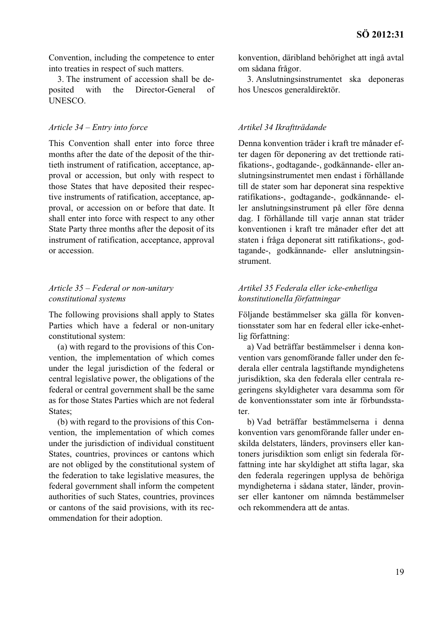Convention, including the competence to enter into treaties in respect of such matters.

3. The instrument of accession shall be deposited with the Director-General of UNESCO.

#### *Article 34 – Entry into force*

This Convention shall enter into force three months after the date of the deposit of the thirtieth instrument of ratification, acceptance, approval or accession, but only with respect to those States that have deposited their respective instruments of ratification, acceptance, approval, or accession on or before that date. It shall enter into force with respect to any other State Party three months after the deposit of its instrument of ratification, acceptance, approval or accession.

# *Article 35 – Federal or non-unitary constitutional systems*

The following provisions shall apply to States Parties which have a federal or non-unitary constitutional system:

(a) with regard to the provisions of this Convention, the implementation of which comes under the legal jurisdiction of the federal or central legislative power, the obligations of the federal or central government shall be the same as for those States Parties which are not federal States:

(b) with regard to the provisions of this Convention, the implementation of which comes under the jurisdiction of individual constituent States, countries, provinces or cantons which are not obliged by the constitutional system of the federation to take legislative measures, the federal government shall inform the competent authorities of such States, countries, provinces or cantons of the said provisions, with its recommendation for their adoption.

konvention, däribland behörighet att ingå avtal om sådana frågor.

3. Anslutningsinstrumentet ska deponeras hos Unescos generaldirektör.

#### *Artikel 34 Ikraftträdande*

Denna konvention träder i kraft tre månader efter dagen för deponering av det trettionde ratifikations-, godtagande-, godkännande- eller anslutningsinstrumentet men endast i förhållande till de stater som har deponerat sina respektive ratifikations-, godtagande-, godkännande- eller anslutningsinstrument på eller före denna dag. I förhållande till varje annan stat träder konventionen i kraft tre månader efter det att staten i fråga deponerat sitt ratifikations-, godtagande-, godkännande- eller anslutningsinstrument.

# *Artikel 35 Federala eller icke-enhetliga konstitutionella författningar*

Följande bestämmelser ska gälla för konventionsstater som har en federal eller icke-enhetlig författning:

a) Vad beträffar bestämmelser i denna konvention vars genomförande faller under den federala eller centrala lagstiftande myndighetens jurisdiktion, ska den federala eller centrala regeringens skyldigheter vara desamma som för de konventionsstater som inte är förbundsstater.

b) Vad beträffar bestämmelserna i denna konvention vars genomförande faller under enskilda delstaters, länders, provinsers eller kantoners jurisdiktion som enligt sin federala författning inte har skyldighet att stifta lagar, ska den federala regeringen upplysa de behöriga myndigheterna i sådana stater, länder, provinser eller kantoner om nämnda bestämmelser och rekommendera att de antas.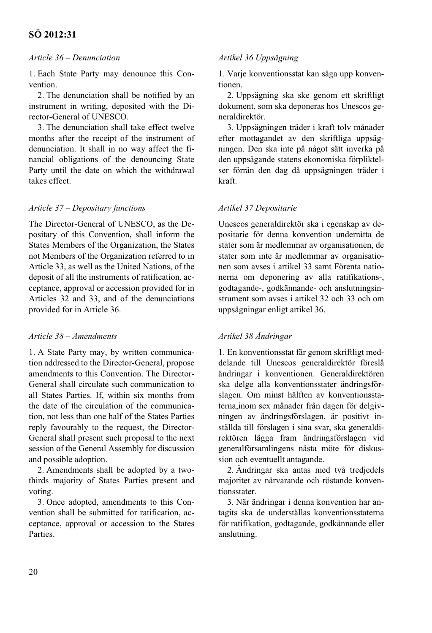#### *Article 36 – Denunciation*

1. Each State Party may denounce this Convention.

2. The denunciation shall be notified by an instrument in writing, deposited with the Director-General of UNESCO.

3. The denunciation shall take effect twelve months after the receipt of the instrument of denunciation. It shall in no way affect the financial obligations of the denouncing State Party until the date on which the withdrawal takes effect.

#### *Article 37 – Depositary functions*

The Director-General of UNESCO, as the Depositary of this Convention, shall inform the States Members of the Organization, the States not Members of the Organization referred to in Article 33, as well as the United Nations, of the deposit of all the instruments of ratification, acceptance, approval or accession provided for in Articles 32 and 33, and of the denunciations provided for in Article 36.

#### *Article 38 – Amendments*

1. A State Party may, by written communication addressed to the Director-General, propose amendments to this Convention. The Director-General shall circulate such communication to all States Parties. If, within six months from the date of the circulation of the communication, not less than one half of the States Parties reply favourably to the request, the Director-General shall present such proposal to the next session of the General Assembly for discussion and possible adoption.

2. Amendments shall be adopted by a twothirds majority of States Parties present and voting.

3. Once adopted, amendments to this Convention shall be submitted for ratification, acceptance, approval or accession to the States **Parties** 

#### *Artikel 36 Uppsägning*

1. Varje konventionsstat kan säga upp konventionen.

2. Uppsägning ska ske genom ett skriftligt dokument, som ska deponeras hos Unescos generaldirektör.

3. Uppsägningen träder i kraft tolv månader efter mottagandet av den skriftliga uppsägningen. Den ska inte på något sätt inverka på den uppsägande statens ekonomiska förpliktelser förrän den dag då uppsägningen träder i kraft.

#### *Artikel 37 Depositarie*

Unescos generaldirektör ska i egenskap av depositarie för denna konvention underrätta de stater som är medlemmar av organisationen, de stater som inte är medlemmar av organisationen som avses i artikel 33 samt Förenta nationerna om deponering av alla ratifikations-, godtagande-, godkännande- och anslutningsinstrument som avses i artikel 32 och 33 och om uppsägningar enligt artikel 36.

# *Artikel 38 Ändringar*

1. En konventionsstat får genom skriftligt meddelande till Unescos generaldirektör föreslå ändringar i konventionen. Generaldirektören ska delge alla konventionsstater ändringsförslagen. Om minst hälften av konventionsstaterna,inom sex månader från dagen för delgivningen av ändringsförslagen, är positivt inställda till förslagen i sina svar, ska generaldirektören lägga fram ändringsförslagen vid generalförsamlingens nästa möte för diskussion och eventuellt antagande.

2. Ändringar ska antas med två tredjedels majoritet av närvarande och röstande konventionsstater.

3. När ändringar i denna konvention har antagits ska de underställas konventionsstaterna för ratifikation, godtagande, godkännande eller anslutning.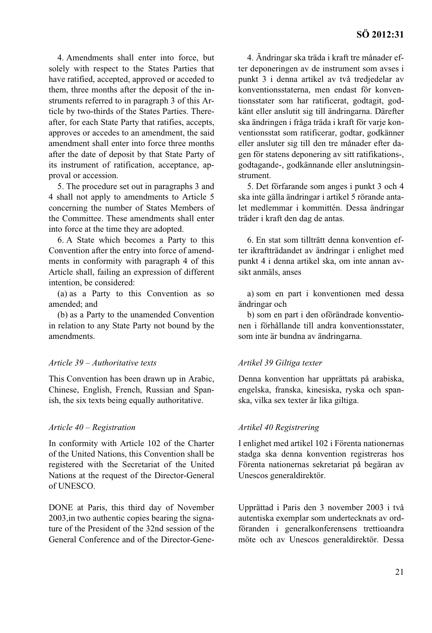4. Amendments shall enter into force, but solely with respect to the States Parties that have ratified, accepted, approved or acceded to them, three months after the deposit of the instruments referred to in paragraph 3 of this Article by two-thirds of the States Parties. Thereafter, for each State Party that ratifies, accepts, approves or accedes to an amendment, the said amendment shall enter into force three months after the date of deposit by that State Party of its instrument of ratification, acceptance, approval or accession.

5. The procedure set out in paragraphs 3 and 4 shall not apply to amendments to Article 5 concerning the number of States Members of the Committee. These amendments shall enter into force at the time they are adopted.

6. A State which becomes a Party to this Convention after the entry into force of amendments in conformity with paragraph 4 of this Article shall, failing an expression of different intention, be considered:

(a) as a Party to this Convention as so amended; and

(b) as a Party to the unamended Convention in relation to any State Party not bound by the amendments.

#### *Article 39 – Authoritative texts*

This Convention has been drawn up in Arabic, Chinese, English, French, Russian and Spanish, the six texts being equally authoritative.

#### *Article 40 – Registration*

In conformity with Article 102 of the Charter of the United Nations, this Convention shall be registered with the Secretariat of the United Nations at the request of the Director-General of UNESCO.

DONE at Paris, this third day of November 2003,in two authentic copies bearing the signature of the President of the 32nd session of the General Conference and of the Director-Gene-

4. Ändringar ska träda i kraft tre månader efter deponeringen av de instrument som avses i punkt 3 i denna artikel av två tredjedelar av konventionsstaterna, men endast för konventionsstater som har ratificerat, godtagit, godkänt eller anslutit sig till ändringarna. Därefter ska ändringen i fråga träda i kraft för varje konventionsstat som ratificerar, godtar, godkänner eller ansluter sig till den tre månader efter dagen för statens deponering av sitt ratifikations-, godtagande-, godkännande eller anslutningsinstrument.

5. Det förfarande som anges i punkt 3 och 4 ska inte gälla ändringar i artikel 5 rörande antalet medlemmar i kommittén. Dessa ändringar träder i kraft den dag de antas.

6. En stat som tillträtt denna konvention efter ikraftträdandet av ändringar i enlighet med punkt 4 i denna artikel ska, om inte annan avsikt anmäls, anses

a) som en part i konventionen med dessa ändringar och

b) som en part i den oförändrade konventionen i förhållande till andra konventionsstater, som inte är bundna av ändringarna.

#### *Artikel 39 Giltiga texter*

Denna konvention har upprättats på arabiska, engelska, franska, kinesiska, ryska och spanska, vilka sex texter är lika giltiga.

#### *Artikel 40 Registrering*

I enlighet med artikel 102 i Förenta nationernas stadga ska denna konvention registreras hos Förenta nationernas sekretariat på begäran av Unescos generaldirektör.

Upprättad i Paris den 3 november 2003 i två autentiska exemplar som undertecknats av ordföranden i generalkonferensens trettioandra möte och av Unescos generaldirektör. Dessa